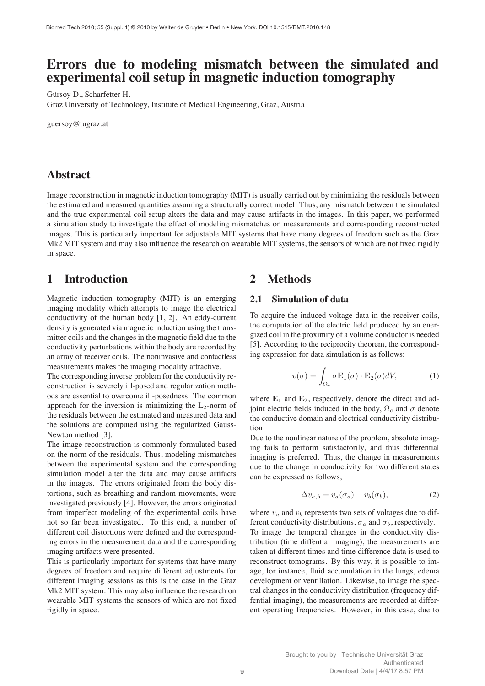# **Errors due to modeling mismatch between the simulated and experimental coil setup in magnetic induction tomography**

Gürsoy D., Scharfetter H.

Graz University of Technology, Institute of Medical Engineering, Graz, Austria

guersoy@tugraz.at

## **Abstract**

Image reconstruction in magnetic induction tomography (MIT) is usually carried out by minimizing the residuals between the estimated and measured quantities assuming a structurally correct model. Thus, any mismatch between the simulated and the true experimental coil setup alters the data and may cause artifacts in the images. In this paper, we performed a simulation study to investigate the effect of modeling mismatches on measurements and corresponding reconstructed images. This is particularly important for adjustable MIT systems that have many degrees of freedom such as the Graz Mk2 MIT system and may also influence the research on wearable MIT systems, the sensors of which are not fixed rigidly in space.

## **1 Introduction**

Magnetic induction tomography (MIT) is an emerging imaging modality which attempts to image the electrical conductivity of the human body [1, 2]. An eddy-current density is generated via magnetic induction using the transmitter coils and the changes in the magnetic field due to the conductivity perturbations within the body are recorded by an array of receiver coils. The noninvasive and contactless measurements makes the imaging modality attractive.

The corresponding inverse problem for the conductivity reconstruction is severely ill-posed and regularization methods are essential to overcome ill-posedness. The common approach for the inversion is minimizing the  $L_2$ -norm of the residuals between the estimated and measured data and the solutions are computed using the regularized Gauss-Newton method [3].

The image reconstruction is commonly formulated based on the norm of the residuals. Thus, modeling mismatches between the experimental system and the corresponding simulation model alter the data and may cause artifacts in the images. The errors originated from the body distortions, such as breathing and random movements, were investigated previously [4]. However, the errors originated from imperfect modeling of the experimental coils have not so far been investigated. To this end, a number of different coil distortions were defined and the corresponding errors in the measurement data and the corresponding imaging artifacts were presented.

This is particularly important for systems that have many degrees of freedom and require different adjustments for different imaging sessions as this is the case in the Graz Mk2 MIT system. This may also influence the research on wearable MIT systems the sensors of which are not fixed rigidly in space.

## **2 Methods**

#### **2.1 Simulation of data**

To acquire the induced voltage data in the receiver coils, the computation of the electric field produced by an energized coil in the proximity of a volume conductor is needed [5]. According to the reciprocity theorem, the corresponding expression for data simulation is as follows:

$$
v(\sigma) = \int_{\Omega_c} \sigma \mathbf{E}_1(\sigma) \cdot \mathbf{E}_2(\sigma) dV, \tag{1}
$$

where  $\mathbf{E}_1$  and  $\mathbf{E}_2$ , respectively, denote the direct and adjoint electric fields induced in the body,  $\Omega_c$  and  $\sigma$  denote the conductive domain and electrical conductivity distribution.

Due to the nonlinear nature of the problem, absolute imaging fails to perform satisfactorily, and thus differential imaging is preferred. Thus, the change in measurements due to the change in conductivity for two different states can be expressed as follows,

$$
\Delta v_{a,b} = v_a(\sigma_a) - v_b(\sigma_b),\tag{2}
$$

where  $v_a$  and  $v_b$  represents two sets of voltages due to different conductivity distributions,  $\sigma_a$  and  $\sigma_b$ , respectively.

To image the temporal changes in the conductivity distribution (time diffential imaging), the measurements are taken at different times and time difference data is used to reconstruct tomograms. By this way, it is possible to image, for instance, fluid accumulation in the lungs, edema development or ventillation. Likewise, to image the spectral changes in the conductivity distribution (frequency diffential imaging), the measurements are recorded at different operating frequencies. However, in this case, due to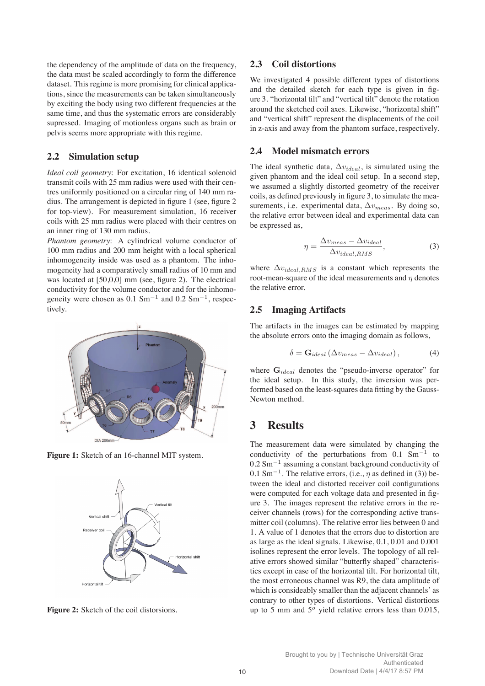the dependency of the amplitude of data on the frequency, the data must be scaled accordingly to form the difference dataset. This regime is more promising for clinical applications, since the measurements can be taken simultaneously by exciting the body using two different frequencies at the same time, and thus the systematic errors are considerably supressed. Imaging of motionless organs such as brain or pelvis seems more appropriate with this regime.

#### **2.2 Simulation setup**

*Ideal coil geometry*: For excitation, 16 identical solenoid transmit coils with 25 mm radius were used with their centres uniformly positioned on a circular ring of 140 mm radius. The arrangement is depicted in figure 1 (see, figure 2 for top-view). For measurement simulation, 16 receiver coils with 25 mm radius were placed with their centres on an inner ring of 130 mm radius.

*Phantom geometry*: A cylindrical volume conductor of 100 mm radius and 200 mm height with a local spherical inhomogeneity inside was used as a phantom. The inhomogeneity had a comparatively small radius of 10 mm and was located at [50,0,0] mm (see, figure 2). The electrical conductivity for the volume conductor and for the inhomogeneity were chosen as  $0.1 \text{ Sm}^{-1}$  and  $0.2 \text{ Sm}^{-1}$ , respectively.



**Figure 1:** Sketch of an 16-channel MIT system.



**Figure 2:** Sketch of the coil distorsions.

#### **2.3 Coil distortions**

We investigated 4 possible different types of distortions and the detailed sketch for each type is given in figure 3. "horizontal tilt" and "vertical tilt" denote the rotation around the sketched coil axes. Likewise, "horizontal shift" and "vertical shift" represent the displacements of the coil in z-axis and away from the phantom surface, respectively.

#### **2.4 Model mismatch errors**

The ideal synthetic data,  $\Delta v_{ideal}$ , is simulated using the given phantom and the ideal coil setup. In a second step, we assumed a slightly distorted geometry of the receiver coils, as defined previously in figure 3, to simulate the measurements, i.e. experimental data,  $\Delta v_{meas}$ . By doing so, the relative error between ideal and experimental data can be expressed as,

$$
\eta = \frac{\Delta v_{meas} - \Delta v_{ideal}}{\Delta v_{ideal,RMS}},\tag{3}
$$

where  $\Delta v_{ideal,RMS}$  is a constant which represents the root-mean-square of the ideal measurements and  $\eta$  denotes the relative error.

#### **2.5 Imaging Artifacts**

The artifacts in the images can be estimated by mapping the absolute errors onto the imaging domain as follows,

$$
\delta = \mathbf{G}_{ideal} \left( \Delta v_{meas} - \Delta v_{ideal} \right),\tag{4}
$$

where  $\mathbf{G}_{ideal}$  denotes the "pseudo-inverse operator" for the ideal setup. In this study, the inversion was performed based on the least-squares data fitting by the Gauss-Newton method.

## **3 Results**

The measurement data were simulated by changing the conductivity of the perturbations from  $0.1 \text{ Sm}^{-1}$  to  $0.2$  Sm<sup> $-1$ </sup> assuming a constant background conductivity of 0.1 Sm<sup>-1</sup>. The relative errors, (i.e.,  $\eta$  as defined in (3)) between the ideal and distorted receiver coil configurations were computed for each voltage data and presented in figure 3. The images represent the relative errors in the receiver channels (rows) for the corresponding active transmitter coil (columns). The relative error lies between 0 and 1. A value of 1 denotes that the errors due to distortion are as large as the ideal signals. Likewise, 0.1, 0.01 and 0.001 isolines represent the error levels. The topology of all relative errors showed similar "butterfly shaped" characteristics except in case of the horizontal tilt. For horizontal tilt, the most erroneous channel was R9, the data amplitude of which is consideably smaller than the adjacent channels' as contrary to other types of distortions. Vertical distortions up to 5 mm and  $5^{\circ}$  yield relative errors less than 0.015,